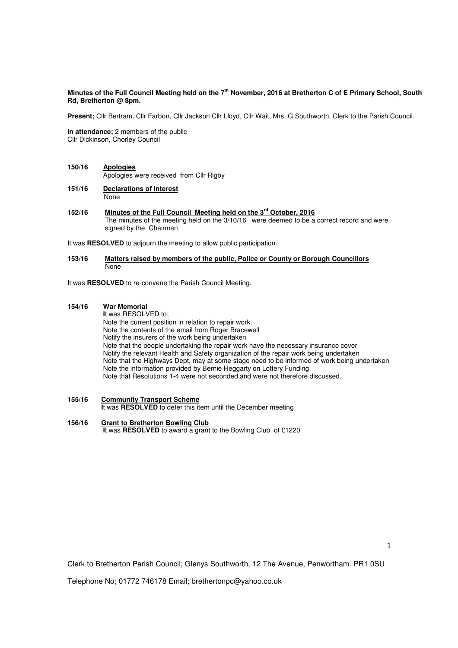## **Minutes of the Full Council Meeting held on the 7th November, 2016 at Bretherton C of E Primary School, South Rd, Bretherton @ 8pm.**

**Present;** Cllr Bertram, Cllr Farbon, Cllr Jackson Cllr Lloyd, Cllr Wait, Mrs. G Southworth, Clerk to the Parish Council.

**In attendance;** 2 members of the public Cllr Dickinson, Chorley Council

- **150/16 Apologies** Apologies were received from Cllr Rigby
- **151/16 Declarations of Interest None**
- **152/16 Minutes of the Full Council Meeting held on the 3rd October, 2016**  The minutes of the meeting held on the 3/10/16 were deemed to be a correct record and were signed by the Chairman

It was **RESOLVED** to adjourn the meeting to allow public participation.

#### **153/16 Matters raised by members of the public, Police or County or Borough Councillors**  None

It was **RESOLVED** to re-convene the Parish Council Meeting.

### **154/16 War Memorial**

 **I**t was RESOLVED to; Note the current position in relation to repair work. Note the contents of the email from Roger Bracewell Notify the insurers of the work being undertaken Note that the people undertaking the repair work have the necessary insurance cover Notify the relevant Health and Safety organization of the repair work being undertaken Note that the Highways Dept, may at some stage need to be informed of work being undertaken Note the information provided by Bernie Heggarty on Lottery Funding Note that Resolutions 1-4 were not seconded and were not therefore discussed.

**155/16 Community Transport Scheme** 

**I**t was **RESOLVED** to defer this item until the December meeting

### **156/16 Grant to Bretherton Bowling Club**

 **I**t was **RESOLVED** to award a grant to the Bowling Club of £1220

Clerk to Bretherton Parish Council; Glenys Southworth, 12 The Avenue, Penwortham. PR1 0SU

Telephone No; 01772 746178 Email; brethertonpc@yahoo.co.uk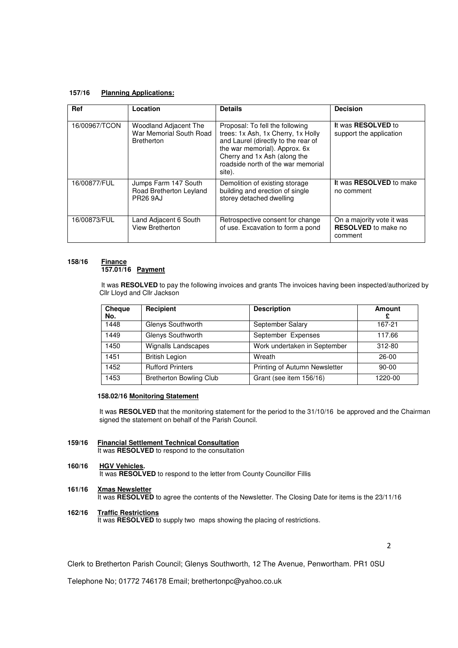### **157/16 Planning Applications:**

| <b>Ref</b>    | Location                                                              | <b>Details</b>                                                                                                                                                                                                                | <b>Decision</b>                                                    |
|---------------|-----------------------------------------------------------------------|-------------------------------------------------------------------------------------------------------------------------------------------------------------------------------------------------------------------------------|--------------------------------------------------------------------|
| 16/00967/TCON | Woodland Adjacent The<br>War Memorial South Road<br><b>Bretherton</b> | Proposal: To fell the following<br>trees: 1x Ash, 1x Cherry, 1x Holly<br>and Laurel (directly to the rear of<br>the war memorial). Approx. 6x<br>Cherry and 1x Ash (along the<br>roadside north of the war memorial<br>site). | It was <b>RESOLVED</b> to<br>support the application               |
| 16/00877/FUL  | Jumps Farm 147 South<br>Road Bretherton Leyland<br><b>PR26 9AJ</b>    | Demolition of existing storage<br>building and erection of single<br>storey detached dwelling                                                                                                                                 | It was <b>RESOLVED</b> to make<br>no comment                       |
| 16/00873/FUL  | Land Adjacent 6 South<br>View Bretherton                              | Retrospective consent for change<br>of use. Excavation to form a pond                                                                                                                                                         | On a majority vote it was<br><b>RESOLVED</b> to make no<br>comment |

#### **158/16 Finance 157.01/16 Payment**

 It was **RESOLVED** to pay the following invoices and grants The invoices having been inspected/authorized by *Cllr Lloyd and Cllr Jackson* 

| Cheque<br>No. | Recipient                      | <b>Description</b>            | <b>Amount</b><br>£ |
|---------------|--------------------------------|-------------------------------|--------------------|
| 1448          | Glenys Southworth              | September Salary              | 167-21             |
| 1449          | Glenys Southworth              | September Expenses            | 117.66             |
| 1450          | <b>Wignalls Landscapes</b>     | Work undertaken in September  | 312-80             |
| 1451          | <b>British Legion</b>          | Wreath                        | 26-00              |
| 1452          | <b>Rufford Printers</b>        | Printing of Autumn Newsletter | $90 - 00$          |
| 1453          | <b>Bretherton Bowling Club</b> | Grant (see item 156/16)       | 1220-00            |

# **158.02/16 Monitoring Statement**

It was **RESOLVED** that the monitoring statement for the period to the 31/10/16 be approved and the Chairman signed the statement on behalf of the Parish Council.

**159/16 Financial Settlement Technical Consultation**  It was **RESOLVED** to respond to the consultation

### **160/16 HGV Vehicles.**

It was **RESOLVED** to respond to the letter from County Councillor Fillis

**161/16 Xmas Newsletter** It was **RESOLVED** to agree the contents of the Newsletter. The Closing Date for items is the 23/11/16

# **162/16 Traffic Restrictions**

It was **RESOLVED** to supply two maps showing the placing of restrictions.

2

Clerk to Bretherton Parish Council; Glenys Southworth, 12 The Avenue, Penwortham. PR1 0SU

Telephone No; 01772 746178 Email; brethertonpc@yahoo.co.uk